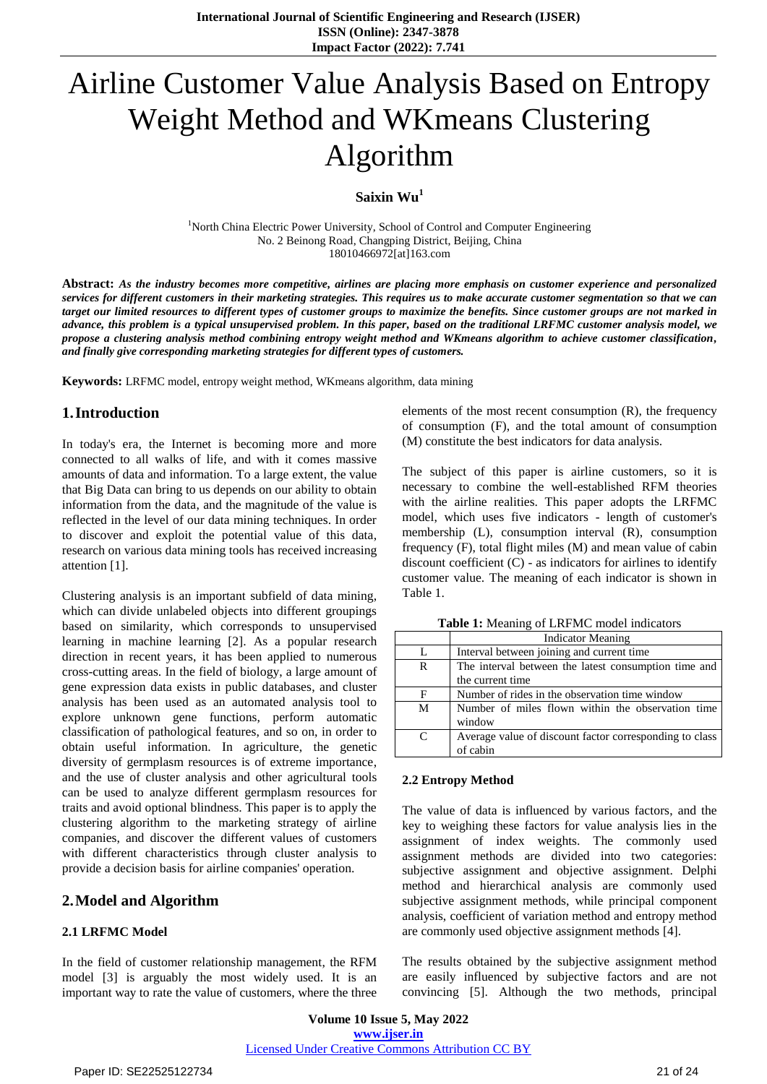# Airline Customer Value Analysis Based on Entropy Weight Method and WKmeans Clustering Algorithm

**Saixin Wu<sup>1</sup>**

<sup>1</sup>North China Electric Power University, School of Control and Computer Engineering No. 2 Beinong Road, Changping District, Beijing, China 18010466972[at]163.com

**Abstract:** *As the industry becomes more competitive, airlines are placing more emphasis on customer experience and personalized services for different customers in their marketing strategies. This requires us to make accurate customer segmentation so that we can target our limited resources to different types of customer groups to maximize the benefits. Since customer groups are not marked in advance, this problem is a typical unsupervised problem. In this paper, based on the traditional LRFMC customer analysis model, we propose a clustering analysis method combining entropy weight method and WKmeans algorithm to achieve customer classification, and finally give corresponding marketing strategies for different types of customers.*

**Keywords:** LRFMC model, entropy weight method, WKmeans algorithm, data mining

## **1.Introduction**

In today's era, the Internet is becoming more and more connected to all walks of life, and with it comes massive amounts of data and information. To a large extent, the value that Big Data can bring to us depends on our ability to obtain information from the data, and the magnitude of the value is reflected in the level of our data mining techniques. In order to discover and exploit the potential value of this data, research on various data mining tools has received increasing attention [1].

Clustering analysis is an important subfield of data mining, which can divide unlabeled objects into different groupings based on similarity, which corresponds to unsupervised learning in machine learning [2]. As a popular research direction in recent years, it has been applied to numerous cross-cutting areas. In the field of biology, a large amount of gene expression data exists in public databases, and cluster analysis has been used as an automated analysis tool to explore unknown gene functions, perform automatic classification of pathological features, and so on, in order to obtain useful information. In agriculture, the genetic diversity of germplasm resources is of extreme importance, and the use of cluster analysis and other agricultural tools can be used to analyze different germplasm resources for traits and avoid optional blindness. This paper is to apply the clustering algorithm to the marketing strategy of airline companies, and discover the different values of customers with different characteristics through cluster analysis to provide a decision basis for airline companies' operation.

## **2.Model and Algorithm**

## **2.1 LRFMC Model**

In the field of customer relationship management, the RFM model [3] is arguably the most widely used. It is an important way to rate the value of customers, where the three elements of the most recent consumption (R), the frequency of consumption (F), and the total amount of consumption (M) constitute the best indicators for data analysis.

The subject of this paper is airline customers, so it is necessary to combine the well-established RFM theories with the airline realities. This paper adopts the LRFMC model, which uses five indicators - length of customer's membership (L), consumption interval (R), consumption frequency (F), total flight miles (M) and mean value of cabin discount coefficient (C) - as indicators for airlines to identify customer value. The meaning of each indicator is shown in Table 1.

|  |  |  |  |  | <b>Table 1:</b> Meaning of LRFMC model indicators |  |
|--|--|--|--|--|---------------------------------------------------|--|
|  |  |  |  |  |                                                   |  |

|   | <b>Indicator Meaning</b>                                |  |  |  |
|---|---------------------------------------------------------|--|--|--|
|   | Interval between joining and current time               |  |  |  |
| R | The interval between the latest consumption time and    |  |  |  |
|   | the current time                                        |  |  |  |
| F | Number of rides in the observation time window          |  |  |  |
| M | Number of miles flown within the observation time       |  |  |  |
|   | window                                                  |  |  |  |
| C | Average value of discount factor corresponding to class |  |  |  |
|   | of cabin                                                |  |  |  |

#### **2.2 Entropy Method**

The value of data is influenced by various factors, and the key to weighing these factors for value analysis lies in the assignment of index weights. The commonly used assignment methods are divided into two categories: subjective assignment and objective assignment. Delphi method and hierarchical analysis are commonly used subjective assignment methods, while principal component analysis, coefficient of variation method and entropy method are commonly used objective assignment methods [4].

The results obtained by the subjective assignment method are easily influenced by subjective factors and are not convincing [5]. Although the two methods, principal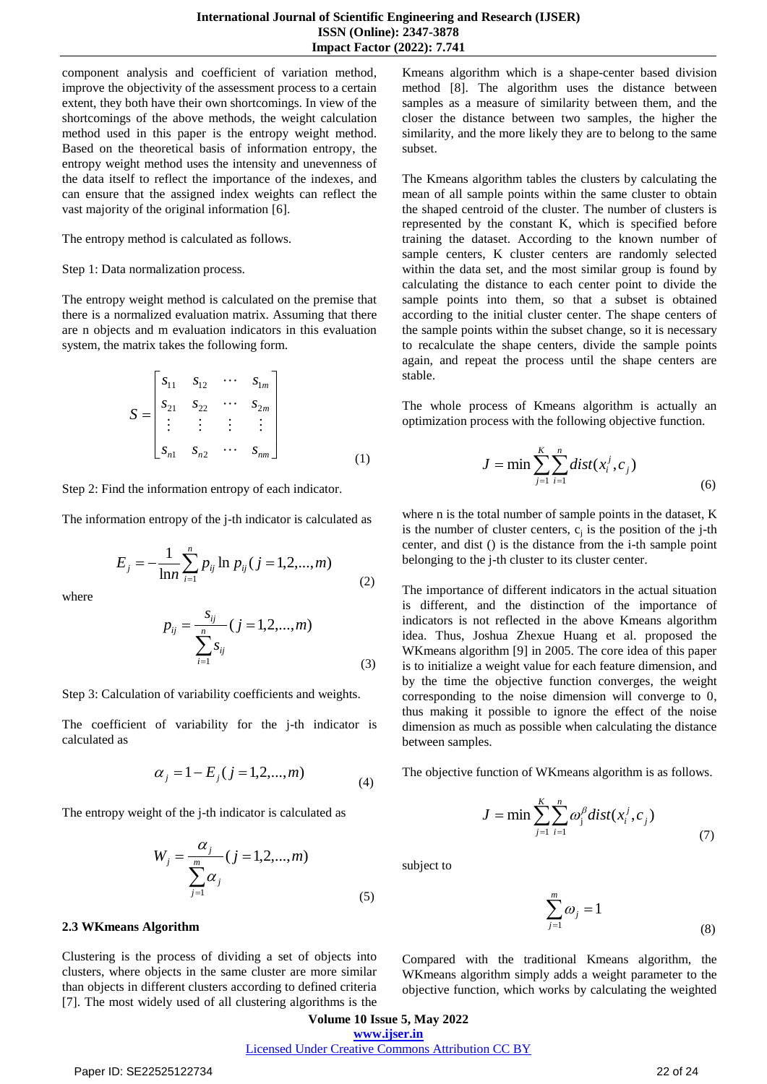component analysis and coefficient of variation method, improve the objectivity of the assessment process to a certain extent, they both have their own shortcomings. In view of the shortcomings of the above methods, the weight calculation method used in this paper is the entropy weight method. Based on the theoretical basis of information entropy, the entropy weight method uses the intensity and unevenness of the data itself to reflect the importance of the indexes, and can ensure that the assigned index weights can reflect the vast majority of the original information [6].

The entropy method is calculated as follows.

Step 1: Data normalization process.

The entropy weight method is calculated on the premise that there is a normalized evaluation matrix. Assuming that there are n objects and m evaluation indicators in this evaluation system, the matrix takes the following form.

$$
S = \begin{bmatrix} s_{11} & s_{12} & \cdots & s_{1m} \\ s_{21} & s_{22} & \cdots & s_{2m} \\ \vdots & \vdots & \vdots & \vdots \\ s_{n1} & s_{n2} & \cdots & s_{nm} \end{bmatrix}
$$
 (1)

Step 2: Find the information entropy of each indicator.

The information entropy of the j-th indicator is calculated as

$$
E_j = -\frac{1}{\ln n} \sum_{i=1}^n p_{ij} \ln p_{ij} (j = 1, 2, ..., m)
$$
 (2)

where

$$
p_{ij} = \frac{s_{ij}}{\sum_{i=1}^{n} s_{ij}} (j = 1, 2, ..., m)
$$
\n(3)

Step 3: Calculation of variability coefficients and weights.

The coefficient of variability for the j-th indicator is calculated as

$$
\alpha_j = 1 - E_j \ (j = 1, 2, \dots, m)
$$
 (4)

The entropy weight of the j-th indicator is calculated as

$$
W_j = \frac{\alpha_j}{\sum_{j=1}^m \alpha_j} (j = 1, 2, ..., m)
$$
\n(5)

#### **2.3 WKmeans Algorithm**

Clustering is the process of dividing a set of objects into clusters, where objects in the same cluster are more similar than objects in different clusters according to defined criteria [7]. The most widely used of all clustering algorithms is the

Kmeans algorithm which is a shape-center based division method [8]. The algorithm uses the distance between samples as a measure of similarity between them, and the closer the distance between two samples, the higher the similarity, and the more likely they are to belong to the same subset.

The Kmeans algorithm tables the clusters by calculating the mean of all sample points within the same cluster to obtain the shaped centroid of the cluster. The number of clusters is represented by the constant K, which is specified before training the dataset. According to the known number of sample centers, K cluster centers are randomly selected within the data set, and the most similar group is found by calculating the distance to each center point to divide the sample points into them, so that a subset is obtained according to the initial cluster center. The shape centers of the sample points within the subset change, so it is necessary to recalculate the shape centers, divide the sample points again, and repeat the process until the shape centers are stable.

The whole process of Kmeans algorithm is actually an optimization process with the following objective function.

$$
J = \min \sum_{j=1}^{K} \sum_{i=1}^{n} dist(x_i^j, c_j)
$$
\n(6)

where n is the total number of sample points in the dataset, K is the number of cluster centers,  $c_j$  is the position of the j-th center, and dist () is the distance from the i-th sample point belonging to the j-th cluster to its cluster center.

The importance of different indicators in the actual situation is different, and the distinction of the importance of indicators is not reflected in the above Kmeans algorithm idea. Thus, Joshua Zhexue Huang et al. proposed the WKmeans algorithm [9] in 2005. The core idea of this paper is to initialize a weight value for each feature dimension, and by the time the objective function converges, the weight corresponding to the noise dimension will converge to 0, thus making it possible to ignore the effect of the noise dimension as much as possible when calculating the distance between samples.

The objective function of WKmeans algorithm is as follows.

$$
J = \min \sum_{j=1}^{K} \sum_{i=1}^{n} \omega_j^{\beta} dist(x_i^j, c_j)
$$
\n
$$
(7)
$$

subject to

$$
\sum_{j=1}^{m} \omega_j = 1 \tag{8}
$$

Compared with the traditional Kmeans algorithm, the WKmeans algorithm simply adds a weight parameter to the objective function, which works by calculating the weighted

**Volume 10 Issue 5, May 2022 www.ijser.in** Licensed Under Creative Commons Attribution CC BY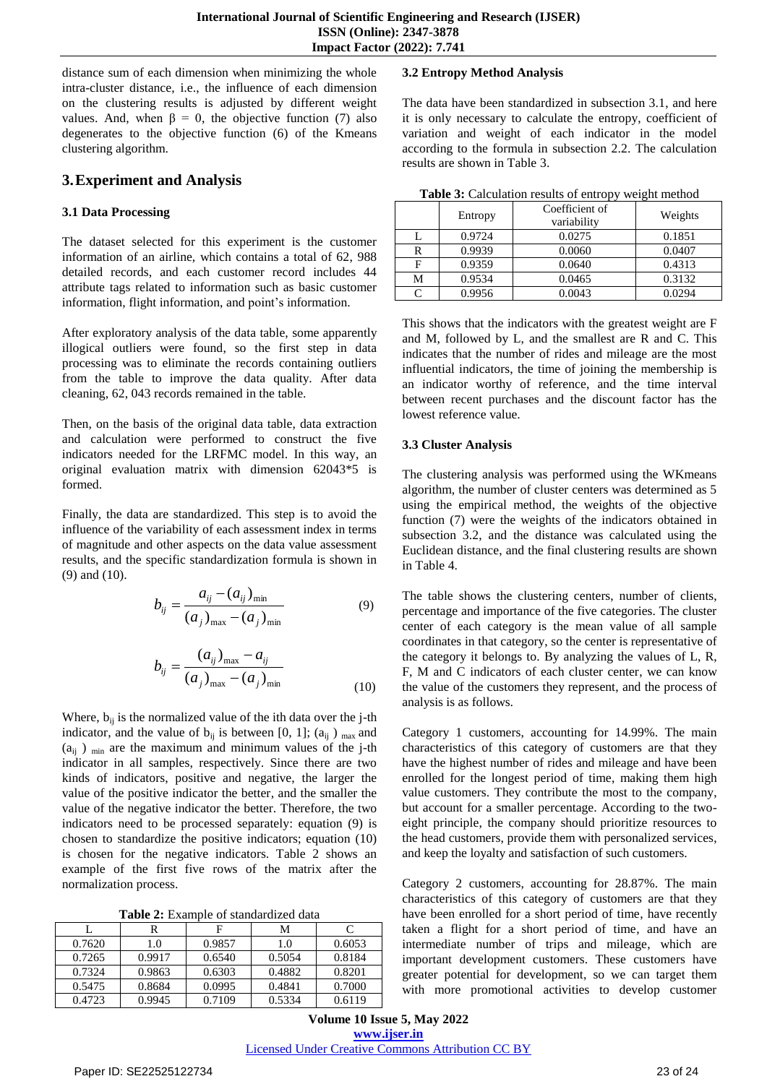distance sum of each dimension when minimizing the whole intra-cluster distance, i.e., the influence of each dimension on the clustering results is adjusted by different weight values. And, when  $β = 0$ , the objective function (7) also degenerates to the objective function (6) of the Kmeans clustering algorithm.

## **3.Experiment and Analysis**

#### **3.1 Data Processing**

The dataset selected for this experiment is the customer information of an airline, which contains a total of 62, 988 detailed records, and each customer record includes 44 attribute tags related to information such as basic customer information, flight information, and point's information.

After exploratory analysis of the data table, some apparently illogical outliers were found, so the first step in data processing was to eliminate the records containing outliers from the table to improve the data quality. After data cleaning, 62, 043 records remained in the table.

Then, on the basis of the original data table, data extraction and calculation were performed to construct the five indicators needed for the LRFMC model. In this way, an original evaluation matrix with dimension 62043\*5 is formed.

Finally, the data are standardized. This step is to avoid the influence of the variability of each assessment index in terms of magnitude and other aspects on the data value assessment results, and the specific standardization formula is shown in (9) and (10).

$$
b_{ij} = \frac{a_{ij} - (a_{ij})_{\min}}{(a_j)_{\max} - (a_j)_{\min}}
$$
(9)

$$
b_{ij} = \frac{(a_{ij})_{\text{max}} - a_{ij}}{(a_j)_{\text{max}} - (a_j)_{\text{min}}}
$$
(10)

Where,  $b_{ii}$  is the normalized value of the ith data over the j-th indicator, and the value of  $b_{ij}$  is between [0, 1]; (a<sub>ij</sub>) <sub>max</sub> and  $(a_{ii})$  <sub>min</sub> are the maximum and minimum values of the j-th indicator in all samples, respectively. Since there are two kinds of indicators, positive and negative, the larger the value of the positive indicator the better, and the smaller the value of the negative indicator the better. Therefore, the two indicators need to be processed separately: equation (9) is chosen to standardize the positive indicators; equation (10) is chosen for the negative indicators. Table 2 shows an example of the first five rows of the matrix after the normalization process.

**Table 2:** Example of standardized data

|        |        |        | М      |        |
|--------|--------|--------|--------|--------|
| 0.7620 | 1.0    | 0.9857 | 1.0    | 0.6053 |
| 0.7265 | 0.9917 | 0.6540 | 0.5054 | 0.8184 |
| 0.7324 | 0.9863 | 0.6303 | 0.4882 | 0.8201 |
| 0.5475 | 0.8684 | 0.0995 | 0.4841 | 0.7000 |
| 0.4723 | 0.9945 | 0.7109 | 0.5334 | 0.6119 |

#### **3.2 Entropy Method Analysis**

The data have been standardized in subsection 3.1, and here it is only necessary to calculate the entropy, coefficient of variation and weight of each indicator in the model according to the formula in subsection 2.2. The calculation results are shown in Table 3.

| Table 3: Calculation results of entropy weight method |  |  |
|-------------------------------------------------------|--|--|
|-------------------------------------------------------|--|--|

|   | Entropy | Coefficient of<br>variability | ັ<br>Weights |
|---|---------|-------------------------------|--------------|
|   | 0.9724  | 0.0275                        | 0.1851       |
| R | 0.9939  | 0.0060                        | 0.0407       |
|   | 0.9359  | 0.0640                        | 0.4313       |
| М | 0.9534  | 0.0465                        | 0.3132       |
|   | 0.9956  | 0.0043                        | 0.0294       |

This shows that the indicators with the greatest weight are F and M, followed by L, and the smallest are R and C. This indicates that the number of rides and mileage are the most influential indicators, the time of joining the membership is an indicator worthy of reference, and the time interval between recent purchases and the discount factor has the lowest reference value.

#### **3.3 Cluster Analysis**

The clustering analysis was performed using the WKmeans algorithm, the number of cluster centers was determined as 5 using the empirical method, the weights of the objective function (7) were the weights of the indicators obtained in subsection 3.2, and the distance was calculated using the Euclidean distance, and the final clustering results are shown in Table 4.

The table shows the clustering centers, number of clients, percentage and importance of the five categories. The cluster center of each category is the mean value of all sample coordinates in that category, so the center is representative of the category it belongs to. By analyzing the values of L, R, F, M and C indicators of each cluster center, we can know the value of the customers they represent, and the process of analysis is as follows.

Category 1 customers, accounting for 14.99%. The main characteristics of this category of customers are that they have the highest number of rides and mileage and have been enrolled for the longest period of time, making them high value customers. They contribute the most to the company, but account for a smaller percentage. According to the twoeight principle, the company should prioritize resources to the head customers, provide them with personalized services, and keep the loyalty and satisfaction of such customers.

Category 2 customers, accounting for 28.87%. The main characteristics of this category of customers are that they have been enrolled for a short period of time, have recently taken a flight for a short period of time, and have an intermediate number of trips and mileage, which are important development customers. These customers have greater potential for development, so we can target them with more promotional activities to develop customer

**Volume 10 Issue 5, May 2022 www.ijser.in** Licensed Under Creative Commons Attribution CC BY